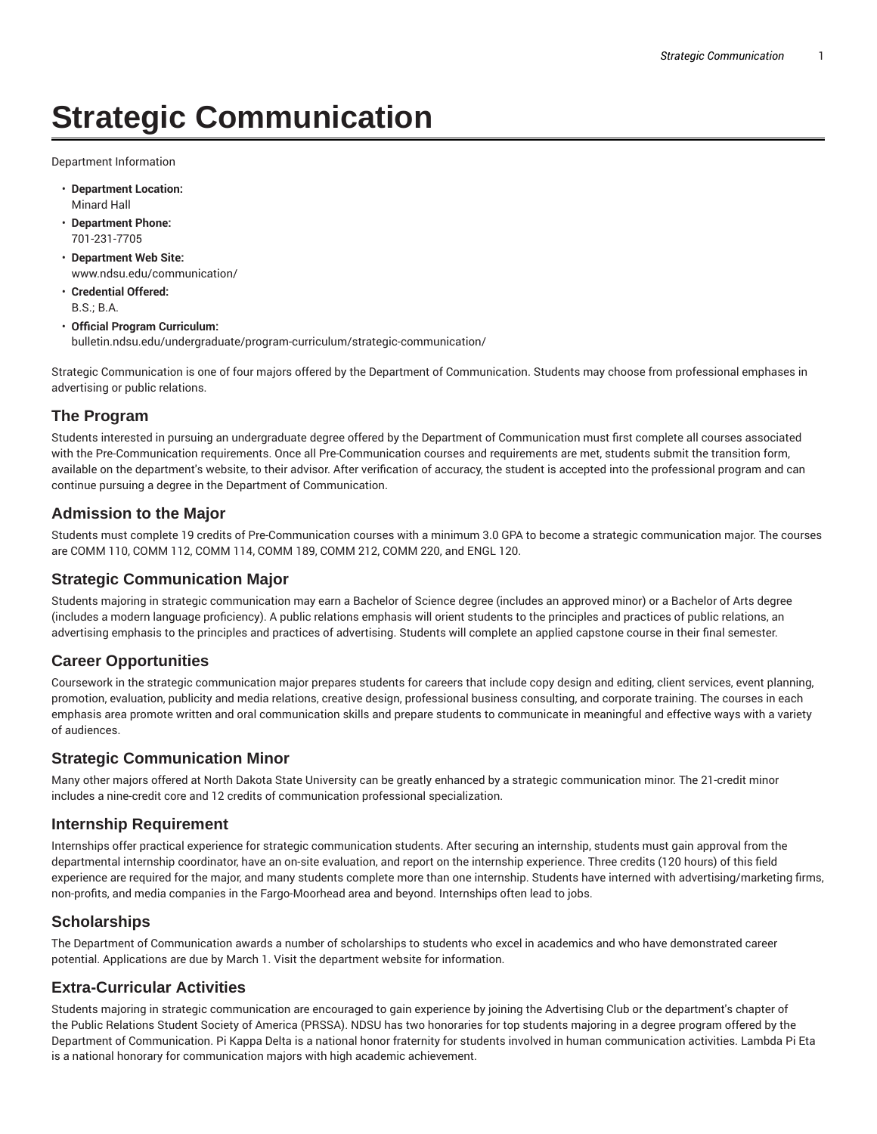# **Strategic Communication**

Department Information

- **Department Location:** Minard Hall
- **Department Phone:** 701-231-7705
- **Department Web Site:** www.ndsu.edu/communication/
- **Credential Offered:** B.S.; B.A.
- **Official Program Curriculum:** bulletin.ndsu.edu/undergraduate/program-curriculum/strategic-communication/

Strategic Communication is one of four majors offered by the Department of Communication. Students may choose from professional emphases in advertising or public relations.

#### **The Program**

Students interested in pursuing an undergraduate degree offered by the Department of Communication must first complete all courses associated with the Pre-Communication requirements. Once all Pre-Communication courses and requirements are met, students submit the transition form, available on the department's website, to their advisor. After verification of accuracy, the student is accepted into the professional program and can continue pursuing a degree in the Department of Communication.

#### **Admission to the Major**

Students must complete 19 credits of Pre-Communication courses with a minimum 3.0 GPA to become a strategic communication major. The courses are COMM 110, COMM 112, COMM 114, COMM 189, COMM 212, COMM 220, and ENGL 120.

## **Strategic Communication Major**

Students majoring in strategic communication may earn a Bachelor of Science degree (includes an approved minor) or a Bachelor of Arts degree (includes a modern language proficiency). A public relations emphasis will orient students to the principles and practices of public relations, an advertising emphasis to the principles and practices of advertising. Students will complete an applied capstone course in their final semester.

## **Career Opportunities**

Coursework in the strategic communication major prepares students for careers that include copy design and editing, client services, event planning, promotion, evaluation, publicity and media relations, creative design, professional business consulting, and corporate training. The courses in each emphasis area promote written and oral communication skills and prepare students to communicate in meaningful and effective ways with a variety of audiences.

#### **Strategic Communication Minor**

Many other majors offered at North Dakota State University can be greatly enhanced by a strategic communication minor. The 21-credit minor includes a nine-credit core and 12 credits of communication professional specialization.

#### **Internship Requirement**

Internships offer practical experience for strategic communication students. After securing an internship, students must gain approval from the departmental internship coordinator, have an on-site evaluation, and report on the internship experience. Three credits (120 hours) of this field experience are required for the major, and many students complete more than one internship. Students have interned with advertising/marketing firms, non-profits, and media companies in the Fargo-Moorhead area and beyond. Internships often lead to jobs.

#### **Scholarships**

The Department of Communication awards a number of scholarships to students who excel in academics and who have demonstrated career potential. Applications are due by March 1. Visit the department website for information.

## **Extra-Curricular Activities**

Students majoring in strategic communication are encouraged to gain experience by joining the Advertising Club or the department's chapter of the Public Relations Student Society of America (PRSSA). NDSU has two honoraries for top students majoring in a degree program offered by the Department of Communication. Pi Kappa Delta is a national honor fraternity for students involved in human communication activities. Lambda Pi Eta is a national honorary for communication majors with high academic achievement.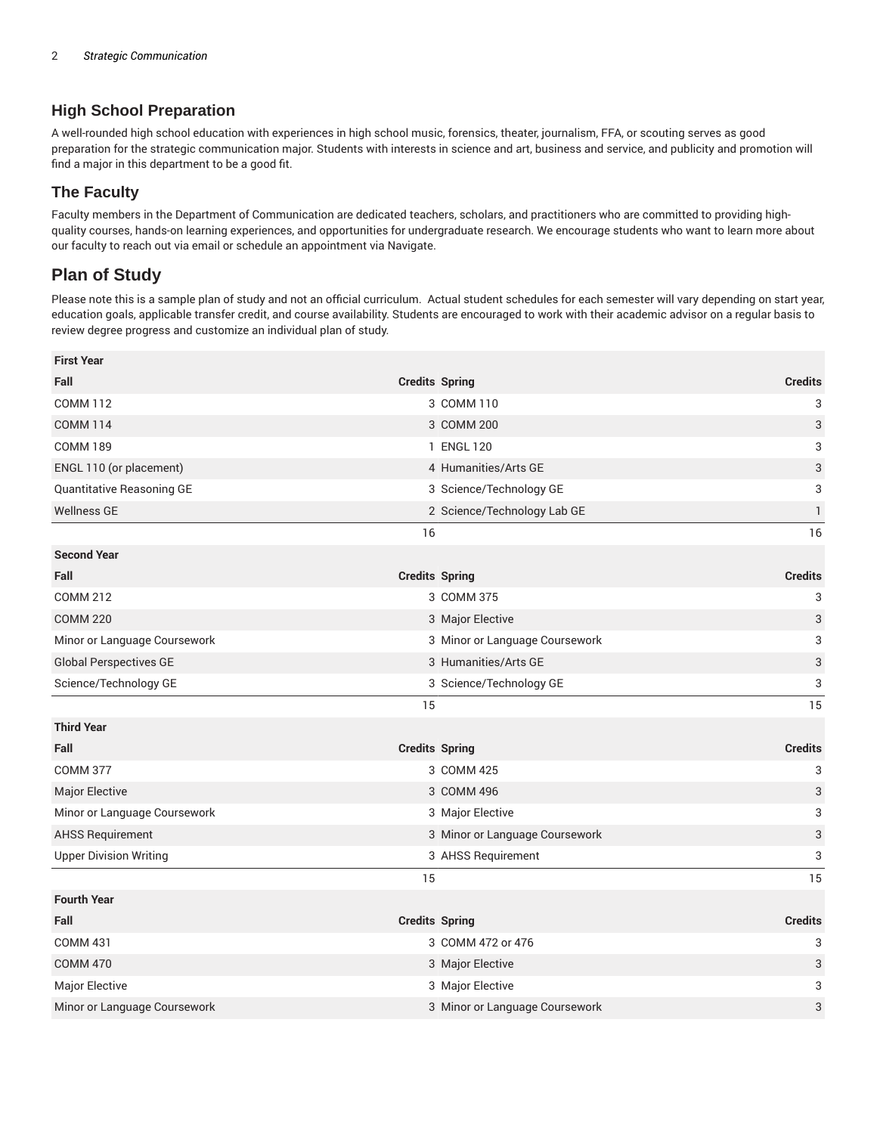## **High School Preparation**

A well-rounded high school education with experiences in high school music, forensics, theater, journalism, FFA, or scouting serves as good preparation for the strategic communication major. Students with interests in science and art, business and service, and publicity and promotion will find a major in this department to be a good fit.

## **The Faculty**

Faculty members in the Department of Communication are dedicated teachers, scholars, and practitioners who are committed to providing highquality courses, hands-on learning experiences, and opportunities for undergraduate research. We encourage students who want to learn more about our faculty to reach out via email or schedule an appointment via Navigate.

## **Plan of Study**

Please note this is a sample plan of study and not an official curriculum. Actual student schedules for each semester will vary depending on start year, education goals, applicable transfer credit, and course availability. Students are encouraged to work with their academic advisor on a regular basis to review degree progress and customize an individual plan of study.

| <b>First Year</b>             |                                |                |
|-------------------------------|--------------------------------|----------------|
| Fall                          | <b>Credits Spring</b>          | <b>Credits</b> |
| <b>COMM 112</b>               | 3 COMM 110                     | 3              |
| <b>COMM 114</b>               | 3 COMM 200                     | 3              |
| <b>COMM 189</b>               | 1 ENGL 120                     | 3              |
| ENGL 110 (or placement)       | 4 Humanities/Arts GE           | 3              |
| Quantitative Reasoning GE     | 3 Science/Technology GE        | 3              |
| <b>Wellness GE</b>            | 2 Science/Technology Lab GE    | 1              |
|                               | 16                             | 16             |
| <b>Second Year</b>            |                                |                |
| Fall                          | <b>Credits Spring</b>          | <b>Credits</b> |
| <b>COMM 212</b>               | 3 COMM 375                     | 3              |
| <b>COMM 220</b>               | 3 Major Elective               | 3              |
| Minor or Language Coursework  | 3 Minor or Language Coursework | 3              |
| <b>Global Perspectives GE</b> | 3 Humanities/Arts GE           | 3              |
| Science/Technology GE         | 3 Science/Technology GE        | 3              |
|                               | 15                             | 15             |
| <b>Third Year</b>             |                                |                |
| Fall                          | <b>Credits Spring</b>          | <b>Credits</b> |
| <b>COMM 377</b>               | 3 COMM 425                     | 3              |
| Major Elective                | 3 COMM 496                     | 3              |
| Minor or Language Coursework  | 3 Major Elective               | 3              |
| <b>AHSS Requirement</b>       | 3 Minor or Language Coursework | 3              |
| <b>Upper Division Writing</b> | 3 AHSS Requirement             | 3              |
|                               | 15                             | 15             |
| <b>Fourth Year</b>            |                                |                |
| Fall                          | <b>Credits Spring</b>          | <b>Credits</b> |
| <b>COMM 431</b>               | 3 COMM 472 or 476              | 3              |
| <b>COMM 470</b>               | 3 Major Elective               | 3              |
| Major Elective                | 3 Major Elective               | 3              |
| Minor or Language Coursework  | 3 Minor or Language Coursework | 3              |